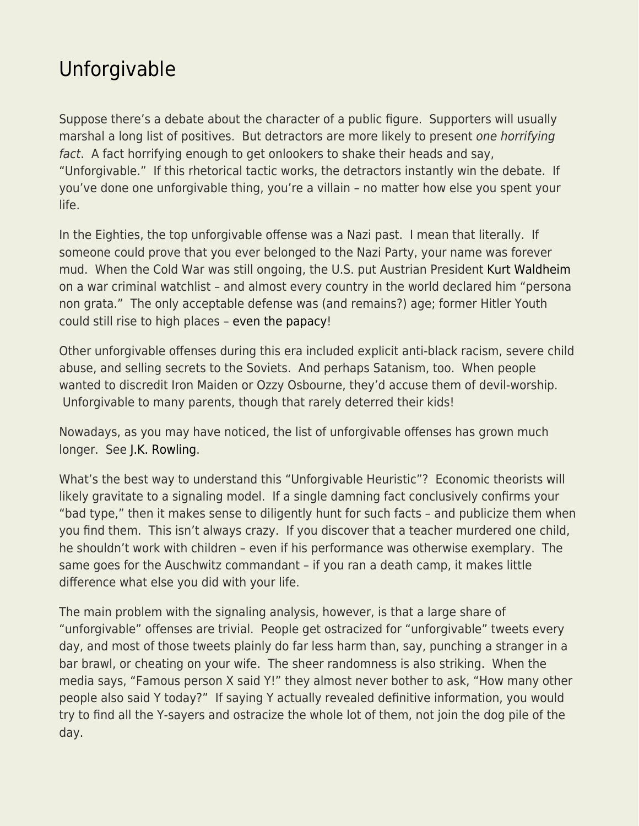## [Unforgivable](https://everything-voluntary.com/unforgivable)

Suppose there's a debate about the character of a public figure. Supporters will usually marshal a long list of positives. But detractors are more likely to present one horrifying fact. A fact horrifying enough to get onlookers to shake their heads and say, "Unforgivable." If this rhetorical tactic works, the detractors instantly win the debate. If you've done one unforgivable thing, you're a villain – no matter how else you spent your life.

In the Eighties, the top unforgivable offense was a Nazi past. I mean that literally. If someone could prove that you ever belonged to the Nazi Party, your name was forever mud. When the Cold War was still ongoing, the U.S. put Austrian President [Kurt Waldheim](https://en.wikipedia.org/wiki/Kurt_Waldheim) on a war criminal watchlist – and almost every country in the world declared him "persona non grata." The only acceptable defense was (and remains?) age; former Hitler Youth could still rise to high places – [even the papacy](https://en.wikipedia.org/wiki/Pope_Benedict_XVI)!

Other unforgivable offenses during this era included explicit anti-black racism, severe child abuse, and selling secrets to the Soviets. And perhaps Satanism, too. When people wanted to discredit Iron Maiden or Ozzy Osbourne, they'd accuse them of devil-worship. Unforgivable to many parents, though that rarely deterred their kids!

Nowadays, as you may have noticed, the list of unforgivable offenses has grown much longer. See [J.K. Rowling](https://people.com/movies/jk-rowling-not-returning-for-hbo-max-harry-potter-reunion-special/).

What's the best way to understand this "Unforgivable Heuristic"? Economic theorists will likely gravitate to a signaling model. If a single damning fact conclusively confirms your "bad type," then it makes sense to diligently hunt for such facts – and publicize them when you find them. This isn't always crazy. If you discover that a teacher murdered one child, he shouldn't work with children – even if his performance was otherwise exemplary. The same goes for the Auschwitz commandant – if you ran a death camp, it makes little difference what else you did with your life.

The main problem with the signaling analysis, however, is that a large share of "unforgivable" offenses are trivial. People get ostracized for "unforgivable" tweets every day, and most of those tweets plainly do far less harm than, say, punching a stranger in a bar brawl, or cheating on your wife. The sheer randomness is also striking. When the media says, "Famous person X said Y!" they almost never bother to ask, "How many other people also said Y today?" If saying Y actually revealed definitive information, you would try to find all the Y-sayers and ostracize the whole lot of them, not join the dog pile of the day.